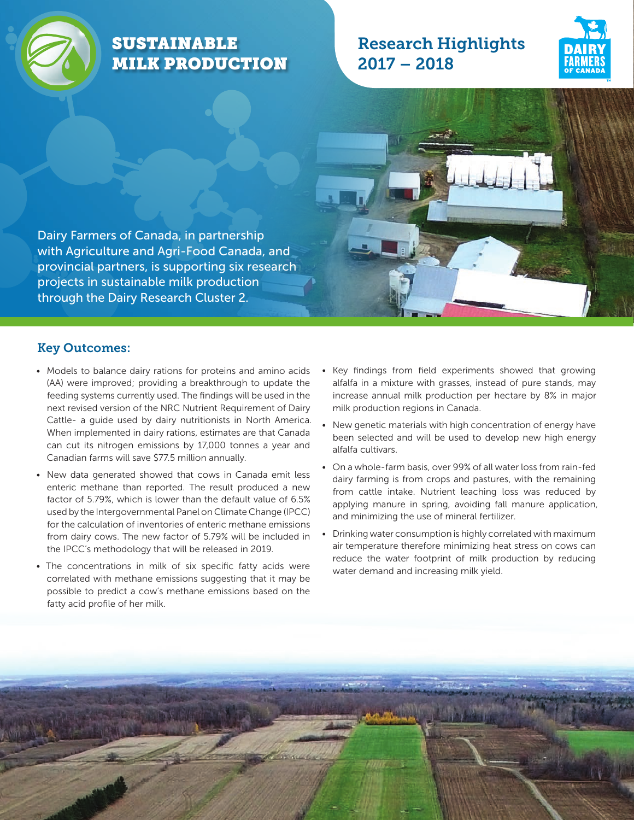

# SUSTAINABLE MILK PRODUCTION

# Research Highlights 2017 – 2018





#### Key Outcomes:

• Models to balance dairy rations for proteins and amino acids (AA) were improved; providing a breakthrough to update the feeding systems currently used. The findings will be used in the next revised version of the NRC Nutrient Requirement of Dairy Cattle- a quide used by dairy nutritionists in North America. When implemented in dairy rations, estimates are that Canada can cut its nitrogen emissions by 17,000 tonnes a year and Canadian farms will save \$77.5 million annually.

through the Dairy Research Cluster 2.

- New data generated showed that cows in Canada emit less enteric methane than reported. The result produced a new factor of 5.79%, which is lower than the default value of 6.5% used by the Intergovernmental Panel on Climate Change (IPCC) for the calculation of inventories of enteric methane emissions from dairy cows. The new factor of 5.79% will be included in the IPCC's methodology that will be released in 2019.
- The concentrations in milk of six specific fatty acids were correlated with methane emissions suggesting that it may be possible to predict a cow's methane emissions based on the fatty acid profile of her milk.
- Key findings from field experiments showed that growing alfalfa in a mixture with grasses, instead of pure stands, may increase annual milk production per hectare by 8% in major milk production regions in Canada.
- New genetic materials with high concentration of energy have been selected and will be used to develop new high energy alfalfa cultivars.
- On a whole-farm basis, over 99% of all water loss from rain-fed dairy farming is from crops and pastures, with the remaining from cattle intake. Nutrient leaching loss was reduced by applying manure in spring, avoiding fall manure application, and minimizing the use of mineral fertilizer.
- Drinking water consumption is highly correlated with maximum air temperature therefore minimizing heat stress on cows can reduce the water footprint of milk production by reducing water demand and increasing milk yield.